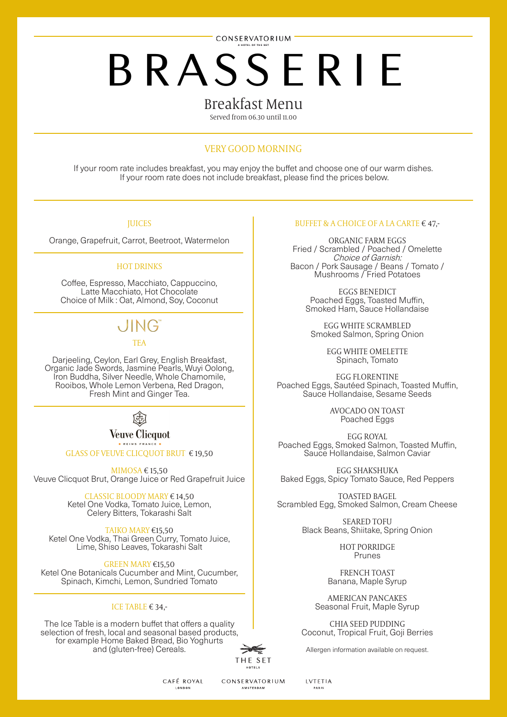CONSERVATORIUM

# **BRASSERIE**

#### Breakfast Menu

Served from 06.30 until 11.00

#### VERY GOOD MORNING

If your room rate includes breakfast, you may enjoy the buffet and choose one of our warm dishes. If your room rate does not include breakfast, please find the prices below.

#### **JUICES**

Orange, Grapefruit, Carrot, Beetroot, Watermelon

l

l

l,

l

#### HOT DRINKS

Coffee, Espresso, Macchiato, Cappuccino, Latte Macchiato, Hot Chocolate Choice of Milk : Oat, Almond, Soy, Coconut

### **JING**

TEA

Darjeeling, Ceylon, Earl Grey, English Breakfast, Organic Jade Swords, Jasmine Pearls, Wuyi Oolong, Iron Buddha, Silver Needle, Whole Chamomile, Rooibos, Whole Lemon Verbena, Red Dragon, Fresh Mint and Ginger Tea.



**Veuve Clicauot** 

GLASS OF VEUVE CLICQUOT BRUT € 19,50

MIMOSA € 15,50 Veuve Clicquot Brut, Orange Juice or Red Grapefruit Juice

> CLASSIC BLOODY MARY € 14,50 Ketel One Vodka, Tomato Juice, Lemon, Celery Bitters, Tokarashi Salt

TAIKO MARY €15,50 Ketel One Vodka, Thai Green Curry, Tomato Juice, Lime, Shiso Leaves, Tokarashi Salt

GREEN MARY €15,50 Ketel One Botanicals Cucumber and Mint, Cucumber, Spinach, Kimchi, Lemon, Sundried Tomato

#### ICE TABLE € 34,-

The Ice Table is a modern buffet that offers a quality selection of fresh, local and seasonal based products, for example Home Baked Bread, Bio Yoghurts and (gluten-free) Cereals.



#### BUFFET & A CHOICE OF A LA CARTE  $\epsilon$  47,-

ORGANIC FARM EGGS Fried / Scrambled / Poached / Omelette Choice of Garnish: Bacon / Pork Sausage / Beans / Tomato / Mushrooms / Fried Potatoes

> EGGS BENEDICT Poached Eggs, Toasted Muffin, Smoked Ham, Sauce Hollandaise

EGG WHITE SCRAMBLED Smoked Salmon, Spring Onion

> EGG WHITE OMELETTE Spinach, Tomato

EGG FLORENTINE Poached Eggs, Sautéed Spinach, Toasted Muffin, Sauce Hollandaise, Sesame Seeds

> AVOCADO ON TOAST Poached Eggs

EGG ROYAL Poached Eggs, Smoked Salmon, Toasted Muffin, Sauce Hollandaise, Salmon Caviar

EGG SHAKSHUKA Baked Eggs, Spicy Tomato Sauce, Red Peppers

TOASTED BAGEL Scrambled Egg, Smoked Salmon, Cream Cheese

> SEARED TOFU Black Beans, Shiitake, Spring Onion

> > HOT PORRIDGE Prunes

FRENCH TOAST Banana, Maple Syrup

AMERICAN PANCAKES Seasonal Fruit, Maple Syrup

CHIA SEED PUDDING Coconut, Tropical Fruit, Goji Berries

Allergen information available on request.

CAFÉ ROYAL

**LONDON** 

CONSERVATORIUM **AMSTERDAM** 

**IVTETIA** PARK